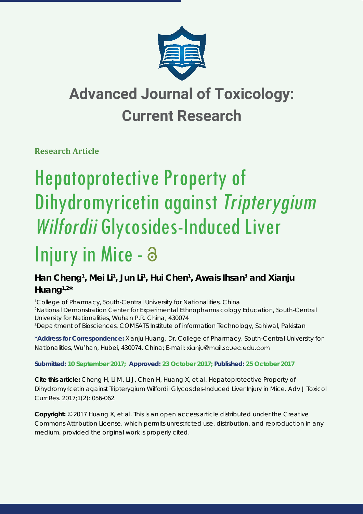

## **Advanced Journal of Toxicology: Current Research**

**Research Article** 

# Hepatoprotective Property of Dihydromyricetin against Tripterygium Wilfordii Glycosides-Induced Liver

## Injury in Mice - a

### Han Cheng<sup>1</sup>, Mei Li<sup>1</sup>, Jun Li<sup>1</sup>, Hui Chen<sup>1</sup>, Awais Ihsan<sup>3</sup> and Xianju **Huang1,2\***

<sup>1</sup> College of Pharmacy, South-Central University for Nationalities, China *2 National Demonstration Center for Experimental Ethnopharmacology Education, South-Central University for Nationalities, Wuhan P.R. China, 430074 3 Department of Biosciences, COMSATS Institute of information Technology, Sahiwal, Pakistan*

**\*Address for Correspondence:** Xianju Huang, Dr. College of Pharmacy, South-Central University for Nationalities, Wu'han, Hubei, 430074, China; E-mail:

### **Submitted: 10 September 2017; Approved: 23 October 2017; Published: 25 October 2017**

**Cite this article:** Cheng H, Li M, Li J, Chen H, Huang X, et al. Hepatoprotective Property of Dihydromyricetin against *Tripterygium Wilfordii* Glycosides-Induced Liver Injury in Mice. Adv J Toxicol Curr Res. 2017;1(2): 056-062.

**Copyright:** © 2017 Huang X, et al. This is an open access article distributed under the Creative Commons Attribution License, which permits unrestricted use, distribution, and reproduction in any medium, provided the original work is properly cited.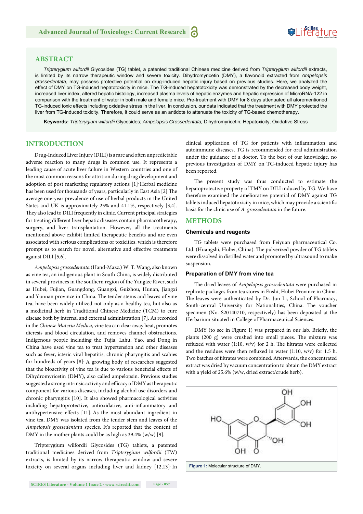#### **ABSTRACT**

*Tripterygium wilfordii* Glycosides (TG) tablet, a patented traditional Chinese medicine derived from *Tripterygium wilfordii* extracts, is limited by its narrow therapeutic window and severe toxicity. Dihydromyricetin (DMY), a flavonoid extracted from Ampelopsis *grossedentata*, may possess protective potential on drug-induced hepatic injury based on previous studies. Here, we analyzed the effect of DMY on TG-induced hepatotoxicity in mice. The TG-induced hepatotoxicity was demonstrated by the decreased body weight, increased liver index, altered hepatic histology, increased plasma levels of hepatic enzymes and hepatic expression of MicroRNA-122 in comparison with the treatment of water in both male and female mice. Pre-treatment with DMY for 8 days attenuated all aforementioned TG-induced toxic effects including oxidative stress in the liver. In conclusion, our data indicated that the treatment with DMY protected the liver from TG-induced toxicity. Therefore, it could serve as an antidote to attenuate the toxicity of TG-based chemotherapy.

**Keywords:** *Tripterygium wilfordii* Glycosides; *Ampelopsis Grossedentata;* Dihydromyricetin; Hepatoxicity; Oxidative Stress

#### **INTRODUCTION**

Drug-Induced Liver Injury (DILI) is a rare and often unpredictable adverse reaction to many drugs in common use. It represents a leading cause of acute liver failure in Western countries and one of the most common reasons for attrition during drug development and adoption of post marketing regulatory actions [1]. Herbal medicine has been used for thousands of years, particularly in East Asia [2] The average one-year prevalence of use of herbal products in the United States and UK is approximately 25% and 41.1%, respectively [3,4]. They also lead to DILI frequently in clinic. Current principal strategies for treating different liver hepatic diseases contain pharmacotherapy, surgery, and liver transplantation. However, all the treatments mentioned above exhibit limited therapeutic benefits and are even associated with serious complications or toxicities, which is therefore prompt us to search for novel, alternative and effective treatments against DILI [5,6].

*Ampelopsis grossedentata* (Hand-Mazz.) W. T. Wang, also known as vine tea, an indigenous plant in South China, is widely distributed in several provinces in the southern region of the Yangtze River, such as Hubei, Fujian, Guangdong, Guangxi, Guizhou, Hunan, Jiangxi and Yunnan province in China. The tender stems and leaves of vine tea, have been widely utilized not only as a healthy tea, but also as a medicinal herb in Traditional Chinese Medicine (TCM) to cure disease both by internal and external administration [7]. As recorded in the *Chinese Materia Medica*, vine tea can clear away heat, promotes dieresis and blood circulation, and removes channel obstructions. Indigenous people including the Tujia, Lahu, Yao, and Dong in China have used vine tea to treat hypertension and other diseases such as fever, icteric viral hepatitis, chronic pharyngitis and scabies for hundreds of years [8]. A growing body of researches suggested that the bioactivity of vine tea is due to various beneficial effects of Dihydromyricetin (DMY), also called ampelopsin. Previous studies suggested a strong intrinsic activity and efficacy of DMY as therapeutic component for various diseases, including alcohol use disorders and chronic pharyngitis [10]. It also showed pharmacological activities including hepatoprotective, antioxidative, anti-inflammatory and antihypertensive effects [11]. As the most abundant ingredient in vine tea, DMY was isolated from the tender stem and leaves of the *Ampelopsis grossedentata* species. It's reported that the content of DMY in the mother plants could be as high as 39.4% (w/w) [9].

Tripterygium wilfordii Glycosides (TG) tablets, a patented traditional medicines derived from *Tripterygium wilfordii* (TW) extracts, is limited by its narrow therapeutic window and severe toxicity on several organs including liver and kidney [12,13]. In clinical application of TG for patients with inflammation and autoimmune diseases, TG is recommended for oral administration under the guidance of a doctor. To the best of our knowledge, no previous investigation of DMY on TG-induced hepatic injury has been reported.

The present study was thus conducted to estimate the hepatoprotective property of TMY on DILI induced by TG. We have therefore examined the ameliorative potential of DMY against TG tablets induced hepatotoxicity in mice, which may provide a scientific basis for the clinic use of *A. grossedentata* in the future.

#### **METHODS**

#### **Chemicals and reagents**

TG tablets were purchased from Feiyuan pharmaceutical Co. Ltd. (Huangshi, Hubei, China). The pulverized powder of TG tablets were dissolved in distilled water and promoted by ultrasound to make suspension.

#### **Preparation of DMY from vine tea**

The dried leaves of *Ampelopsis grossedentata* were purchased in replicate packages from tea stores in Enshi, Hubei Province in China. The leaves were authenticated by Dr. Jun Li, School of Pharmacy, South-central University for Nationalities, China. The voucher specimen (No. S20140710, respectively) has been deposited at the Herbarium situated in College of Pharmaceutical Sciences.

DMY (to see in Figure 1) was prepared in our lab. Briefly, the plants (200 g) were crushed into small pieces. The mixture was refluxed with water (1:10, w/v) for 2 h. The filtrates were collected and the residues were then refluxed in water  $(1:10, w/v)$  for 1.5 h. Two batches of filtrates were combined. Afterwards, the concentrated extract was dried by vacuum concentration to obtain the DMY extract with a yield of 25.6% (w/w, dried extract/crude herb).

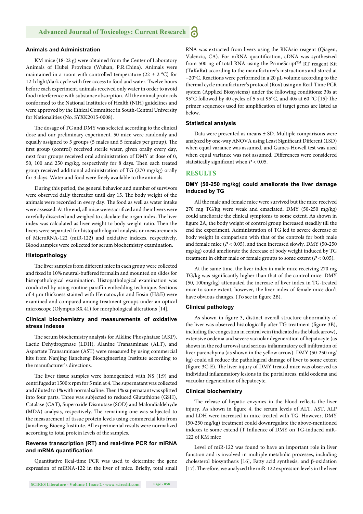#### **Animals and Administration**

KM mice (18-22 g) were obtained from the Center of Laboratory Animals of Hubei Province (Wuhan, P.R.China). Animals were maintained in a room with controlled temperature (22  $\pm$  2 °C) for 12-h light/dark cycle with free access to food and water. Twelve hours before each experiment, animals received only water in order to avoid food interference with substance absorption. All the animal protocols conformed to the National Institutes of Health (NIH) guidelines and were approved by the Ethical Committee in South-Central University for Nationalities (No. SYXK2015-0008).

The dosage of TG and DMY was selected according to the clinical dose and our preliminary experiment. 50 mice were randomly and equally assigned to 5 groups (5 males and 5 females per group). The first group (control) received sterile water, given orally every day, next four groups received oral administration of DMY at dose of 0, 50, 100 and 250 mg/kg, respectively for 8 days. Then each treated group received additional administration of TG (270 mg/kg) orally for 3 days. Water and food were freely available to the animals.

During this period, the general behavior and number of survivors were observed daily thereafter until day 15. The body weight of the animals were recorded in every day. The food as well as water intake were assessed. At the end, all mice were sacrificed and their livers were carefully dissected and weighed to calculate the organ index. The liver index was calculated as liver weight to body weight ratio. Then the livers were separated for histopathological analysis or measurements of MicroRNA-122 (miR-122) and oxidative indexes, respectively. Blood samples were collected for serum biochemistry examination.

#### **Histopathology**

The liver samples from different mice in each group were collected and fixed in 10% neutral-buffered formalin and mounted on slides for histopathological examination. Histopathological examination was conducted by using routine paraffin embedding technique. Sections of 4 μm thickness stained with Hematoxylin and Eosin (H&E) were examined and compared among treatment groups under an optical microscope (Olympus BX 41) for morphological alterations [14].

#### **Clinical biochemistry and measurements of oxidative stress indexes**

The serum biochemistry analysis for Alkline Phosphatase (AKP), Lactic Dehydrogenase (LDH), Alanine Transaminase (ALT), and Aspartate Transaminase (AST) were measured by using commercial kits from Nanjing Jiancheng Bioengineering Institute according to the manufacturer's directions.

The liver tissue samples were homogenized with NS (1:9) and centrifuged at 1500 x rpm for 5 min at 4. The supernatant was collected and diluted to 1% with normal saline. Then 1% supernatant was splitted into four parts. Three was subjected to reduced Glutathione (GSH), Catalase (CAT), Superoxide Dismutase (SOD) and Malondialdehyde (MDA) analysis, respectively. The remaining one was subjected to the measurement of tissue protein levels using commercial kits from Jiancheng-Bioeng Institute. All experimental results were normalized according to total protein levels of the samples.

#### **Reverse transcription (RT) and real-time PCR for miRNA**  and mRNA quantification

Quantitative Real-time PCR was used to determine the gene expression of miRNA-122 in the liver of mice. Briefly, total small RNA was extracted from livers using the RNAsio reagent (Qiagen, Valencia, CA). For mRNA quantification, cDNA was synthesized from 500 ng of total RNA using the PrimeScript™ RT reagent Kit (TaKaRa) according to the manufacturer's instructions and stored at −20C. Reactions were performed in a 20 μL volume according to the thermal cycle manufacturer's protocol (Rox) using an Real-Time PCR system (Applied Biosystems) under the following conditions: 30s at 95°C followed by 40 cycles of 5 s at 95°C, and 40s at 60 °C [15] The primer sequences used for amplification of target genes are listed as below.

#### **Statistical analysis**

Data were presented as means ± SD. Multiple comparisons were analyzed by one-way ANOVA using Least Significant Different (LSD) when equal variance was assumed, and Games-Howell test was used when equal variance was not assumed. Differences were considered statistically significant when  $P < 0.05$ .

#### **RESULTS**

#### **DMY (50-250 mg/kg) could ameliorate the liver damage induced by TG**

All the male and female mice were survived but the mice received 270 mg TG/kg were weak and emaciated. DMY (50-250 mg/kg) could ameliorate the clinical symptoms to some extent. As shown in figure 2A, the body weight of control group increased steadily till the end the experiment. Administration of TG led to severe decrease of body weight in comparison with that of the controls for both male and female mice (*P* < 0.05), and then increased slowly. DMY (50-250 mg/kg) could ameliorate the decrease of body weight induced by TG treatment in either male or female groups to some extent (*P* < 0.05).

At the same time, the liver index in male mice receiving 270 mg TG/kg was significantly higher than that of the control mice. DMY (50, 100mg/kg) attenuated the increase of liver index in TG-treated mice to some extent, however, the liver index of female mice don't have obvious changes. (To see in figure 2B).

#### **Clinical pathology**

As shown in figure 3, distinct overall structure abnormality of the liver was observed histologically after TG treatment (figure 3B), including the congestion in central vein (indicated as the black arrow), extensive oedema and severe vacuolar degeneration of hepatocyte (as shown in the red arrows) and serious inflammatory cell infiltration of liver parenchyma (as shown in the yellow arrow). DMY (50-250 mg/ kg) could all reduce the pathological damage of liver to some extent (figure 3C-E). The liver injury of DMY treated mice was observed as individual inflammatory lesions in the portal areas, mild oedema and vacuolar degeneration of hepatocyte.

#### **Clinical biochemistry**

The release of hepatic enzymes in the blood reflects the liver injury. As shown in figure 4, the serum levels of ALT, AST, ALP and LDH were increased in mice treated with TG. However, DMY (50-250 mg/kg) treatment could downregulate the above-mentioned indexes to some extend (T Influence of DMY on TG-induced miR-122 of KM mice

Level of miR-122 was found to have an important role in liver function and is involved in multiple metabolic processes, including cholesterol biosynthesis [16], Fatty acid synthesis, and β-oxidation [17]. Therefore, we analyzed the miR-122 expression levels in the liver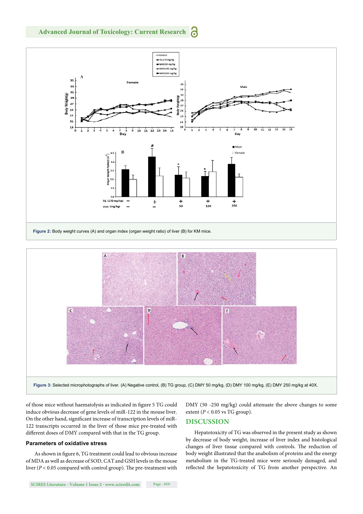



of those mice without haematolysis as indicated in figure 5 TG could induce obvious decrease of gene levels of miR-122 in the mouse liver. On the other hand, significant increase of transcription levels of miR-122 transcripts occurred in the liver of those mice pre-treated with different doses of DMY compared with that in the TG group.

#### **Parameters of oxidative stress**

As shown in figure 6, TG treatment could lead to obvious increase of MDA as well as decrease of SOD, CAT and GSH levels in the mouse liver ( $P < 0.05$  compared with control group). The pre-treatment with DMY (50 -250 mg/kg) could attenuate the above changes to some extent ( $P < 0.05$  vs TG group).

#### **DISCUSSION**

Hepatotoxicity of TG was observed in the present study as shown by decrease of body weight, increase of liver index and histological changes of liver tissue compared with controls. The reduction of body weight illustrated that the anabolism of proteins and the energy metabolism in the TG-treated mice were seriously damaged, and reflected the hepatotoxicity of TG from another perspective. An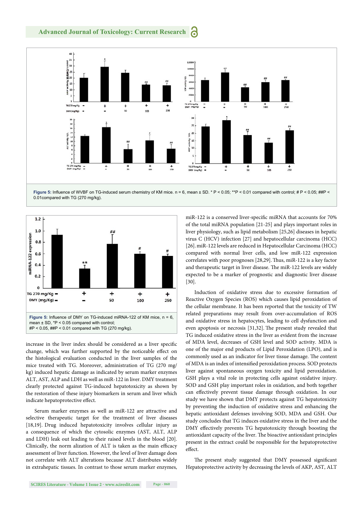

0.01compared with TG (270 mg/kg).



increase in the liver index should be considered as a liver specific change, which was further supported by the noticeable effect on the histological evaluation conducted in the liver samples of the mice treated with TG. Moreover, administration of TG (270 mg/ kg) induced hepatic damage as indicated by serum marker enzymes ALT, AST, ALP and LDH as well as miR-122 in liver. DMY treatment clearly protected against TG-induced hepatotoxicity as shown by the restoration of these injury biomarkers in serum and liver which indicate hepatoprotective effect.

Serum marker enzymes as well as miR-122 are attractive and selective therapeutic target for the treatment of liver diseases [18,19]. Drug induced hepatotoxicity involves cellular injury as a consequence of which the cytosolic enzymes (AST, ALT, ALP and LDH) leak out leading to their raised levels in the blood [20]. Clinically, the norm alization of ALT is taken as the main efficacy assessment of liver function. However, the level of liver damage does not correlate with ALT alterations because ALT distributes widely in extrahepatic tissues. In contrast to those serum marker enzymes, miR-122 is a conserved liver-specific miRNA that accounts for 70% of the total miRNA population [21-25] and plays important roles in liver physiology, such as lipid metabolism [25,26] diseases in hepatic virus C (HCV) infection [27] and hepatocellular carcinoma (HCC) [26].miR-122 levels are reduced in Hepatocellular Carcinoma (HCC) compared with normal liver cells, and low miR-122 expression correlates with poor prognoses [28,29]. Thus, miR-122 is a key factor and therapeutic target in liver disease. The miR-122 levels are widely expected to be a marker of prognostic and diagnostic liver disease [30].

Induction of oxidative stress due to excessive formation of Reactive Oxygen Species (ROS) which causes lipid peroxidation of the cellular membrane. It has been reported that the toxicity of TW related preparations may result from over-accumulation of ROS and oxidative stress in hepatocytes, leading to cell dysfunction and even apoptosis or necrosis [31,32]. The present study revealed that TG induced oxidative stress in the liver as evident from the increase of MDA level, decreases of GSH level and SOD activity. MDA is one of the major end products of Lipid Peroxidation (LPO), and is commonly used as an indicator for liver tissue damage. The content of MDA is an index of intensified peroxidation process. SOD protects liver against spontaneous oxygen toxicity and lipid peroxidation. GSH plays a vital role in protecting cells against oxidative injury. SOD and GSH play important roles in oxidation, and both together can effectively prevent tissue damage through oxidation. In our study we have shown that DMY protects against TG hepatotoxicity by preventing the induction of oxidative stress and enhancing the hepatic antioxidant defenses involving SOD, MDA and GSH. Our study concludes that TG induces oxidative stress in the liver and the DMY effectively prevents TG hepatotoxicity through boosting the antioxidant capacity of the liver. The bioactive antioxidant principles present in the extract could be responsible for the hepatoprotective effect.

The present study suggested that DMY possessed significant Hepatoprotective activity by decreasing the levels of AKP, AST, ALT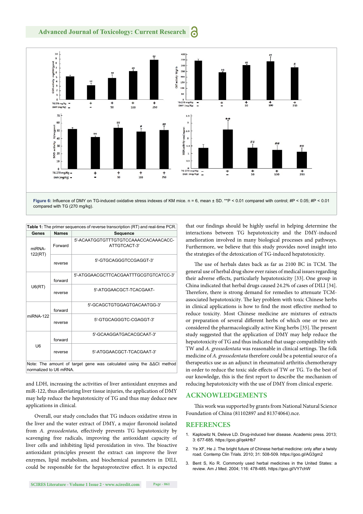

compared with TG (270 mg/kg).

| <b>Table 1:</b> The primer sequences of reverse transcription (RT) and real-time PCR.                       |              |                                                      |
|-------------------------------------------------------------------------------------------------------------|--------------|------------------------------------------------------|
| Genes                                                                                                       | <b>Names</b> | Sequence                                             |
| miRNA-<br>122(RT)                                                                                           | Forward      | 5'-ACAATGGTGTTTGTGTCCAAACCACAAACACC-<br>ATTGTCACT-3' |
|                                                                                                             | reverse      | 5'-GTGCAGGGTCCGAGGT-3'                               |
| U6(RT)                                                                                                      | forward      | 5'-ATGGAACGCTTCACGAATTTGCGTGTCATCC-3'                |
|                                                                                                             | reverse      | 5'-ATGGAACGCT-TCACGAAT-                              |
| miRNA-122                                                                                                   | forward      | 5'-GCAGCTGTGGAGTGACAATGG-3'                          |
|                                                                                                             | reverse      | 5'-GTGCAGGGTC-CGAGGT-3'                              |
| U <sub>6</sub>                                                                                              | forward      | 5'-GCAAGGATGACACGCAAT-3'                             |
|                                                                                                             | reverse      | 5'-ATGGAACGCT-TCACGAAT-3'                            |
| Note: The amount of target gene was calculated using the $\Delta\Delta$ Ct method<br>normalized to U6 mRNA. |              |                                                      |

and LDH, increasing the activities of liver antioxidant enzymes and miR-122, thus alleviating liver tissue injuries, the application of DMY may help reduce the hepatotoxicity of TG and thus may deduce new applications in clinical.

Overall, our study concludes that TG induces oxidative stress in the liver and the water extract of DMY, a major flavonoid isolated from *A. grossedentata*, effectively prevents TG hepatotoxicity by scavenging free radicals, improving the antioxidant capacity of liver cells and inhibiting lipid peroxidation in vivo. The bioactive antioxidant principles present the extract can improve the liver enzymes, lipid metabolism, and biochemical parameters in DILI, could be responsible for the hepatoprotective effect. It is expected

that our findings should be highly useful in helping determine the interactions between TG hepatotoxicity and the DMY-induced amelioration involved in many biological processes and pathways. Furthermore, we believe that this study provides novel insight into the strategies of the detoxication of TG-induced hepatotoxicity.

The use of herbals dates back as far as 2100 BC in TCM. The general use of herbal drug show ever raises of medical issues regarding their adverse effects, particularly hepatotoxicity [33]. One group in China indicated that herbal drugs caused 24.2% of cases of DILI [34]. Therefore, there is strong demand for remedies to attenuate TCMassociated hepatotoxicity. The key problem with toxic Chinese herbs in clinical applications is how to find the most effective method to reduce toxicity. Most Chinese medicine are mixtures of extracts or preparation of several different herbs of which one or two are considered the pharmacologically active King herbs [35]. The present study suggested that the application of DMY may help reduce the hepatotoxicity of TG and thus indicated that usage compatibility with TW and *A. grossedentata* was reasonable in clinical settings. The folk medicine of *A. grossedentata* therefore could be a potential source of a therapeutics use as an adjunct in rheumatoid arthritis chemotherapy in order to reduce the toxic side effects of TW or TG. To the best of our knowledge, this is the first report to describe the mechanism of reducing hepatotoxicity with the use of DMY from clinical experie.

#### **ACKNOWLEDGEMENTS**

This work was supported by grants from National Natural Science Foundation of China (81102897 and 81374064).nce.

#### **REFERENCES**

- 1. Kaplowitz N, Deleve LD. Drug-induced liver disease. Academic press*.* 2013; 3: 677-685. https://goo.gl/qekHb7
- 2. Ye XF, He J. The bright future of Chinese herbal medicine: only after a twisty road. Contemp Clin Trials. 2010; 31: 508-509. https://goo.gl/AG3gm2
- 3. Bent S, Ko R. Commonly used herbal medicines in the United States: a review. Am J Med. 2004; 116: 478-485. https://goo.gl/VY7chW